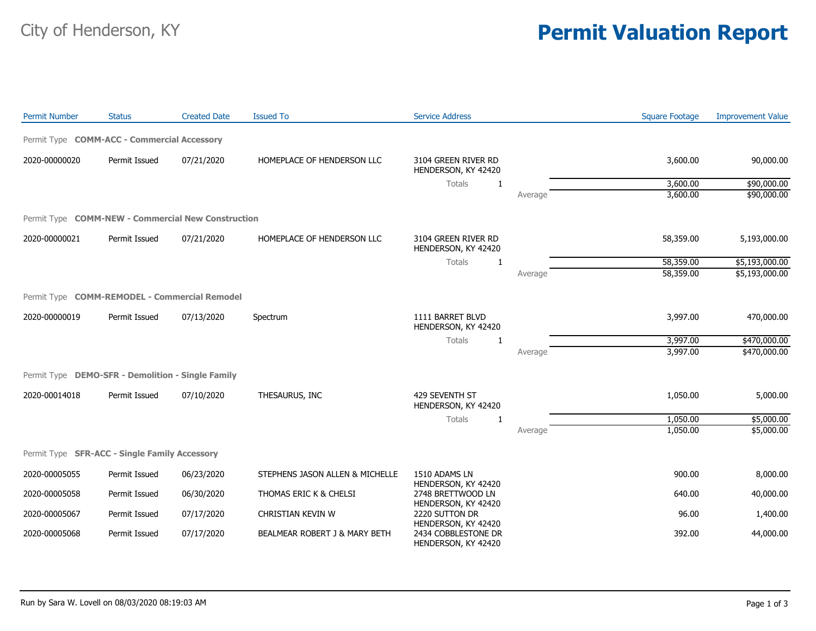## City of Henderson, KY **Permit Valuation Report**

| <b>Permit Number</b> | <b>Status</b>                                      | <b>Created Date</b> | <b>Issued To</b>                | <b>Service Address</b>                                            |         | <b>Square Footage</b> | <b>Improvement Value</b> |
|----------------------|----------------------------------------------------|---------------------|---------------------------------|-------------------------------------------------------------------|---------|-----------------------|--------------------------|
|                      | Permit Type <b>COMM-ACC - Commercial Accessory</b> |                     |                                 |                                                                   |         |                       |                          |
| 2020-00000020        | Permit Issued                                      | 07/21/2020          | HOMEPLACE OF HENDERSON LLC      | 3104 GREEN RIVER RD<br>HENDERSON, KY 42420                        |         | 3,600.00              | 90,000.00                |
|                      |                                                    |                     |                                 | Totals<br>-1                                                      |         | 3,600.00              | \$90,000.00              |
|                      |                                                    |                     |                                 |                                                                   | Average | 3,600.00              | \$90,000.00              |
|                      | Permit Type COMM-NEW - Commercial New Construction |                     |                                 |                                                                   |         |                       |                          |
| 2020-00000021        | Permit Issued                                      | 07/21/2020          | HOMEPLACE OF HENDERSON LLC      | 3104 GREEN RIVER RD<br>HENDERSON, KY 42420                        |         | 58,359.00             | 5,193,000.00             |
|                      |                                                    |                     |                                 | Totals<br>$\mathbf{1}$                                            |         | 58,359.00             | \$5,193,000.00           |
|                      |                                                    |                     |                                 |                                                                   | Average | 58,359.00             | \$5,193,000.00           |
|                      | Permit Type COMM-REMODEL - Commercial Remodel      |                     |                                 |                                                                   |         |                       |                          |
| 2020-00000019        | Permit Issued                                      | 07/13/2020          | Spectrum                        | 1111 BARRET BLVD<br>HENDERSON, KY 42420                           |         | 3,997.00              | 470,000.00               |
|                      |                                                    |                     |                                 | <b>Totals</b><br>1                                                |         | 3,997.00              | \$470,000.00             |
|                      |                                                    |                     |                                 |                                                                   | Average | 3,997.00              | \$470,000.00             |
|                      | Permit Type DEMO-SFR - Demolition - Single Family  |                     |                                 |                                                                   |         |                       |                          |
| 2020-00014018        | Permit Issued                                      | 07/10/2020          | THESAURUS, INC                  | 429 SEVENTH ST<br>HENDERSON, KY 42420                             |         | 1,050.00              | 5,000.00                 |
|                      |                                                    |                     |                                 | Totals<br>1                                                       |         | 1,050.00              | \$5,000.00               |
|                      |                                                    |                     |                                 |                                                                   | Average | 1,050.00              | \$5,000.00               |
|                      | Permit Type SFR-ACC - Single Family Accessory      |                     |                                 |                                                                   |         |                       |                          |
| 2020-00005055        | Permit Issued                                      | 06/23/2020          | STEPHENS JASON ALLEN & MICHELLE | 1510 ADAMS LN                                                     |         | 900.00                | 8,000.00                 |
| 2020-00005058        | Permit Issued                                      | 06/30/2020          | THOMAS ERIC K & CHELSI          | HENDERSON, KY 42420<br>2748 BRETTWOOD LN                          |         | 640.00                | 40,000.00                |
| 2020-00005067        | Permit Issued                                      | 07/17/2020          | CHRISTIAN KEVIN W               | HENDERSON, KY 42420<br>2220 SUTTON DR                             |         | 96.00                 | 1,400.00                 |
| 2020-00005068        | Permit Issued                                      | 07/17/2020          | BEALMEAR ROBERT J & MARY BETH   | HENDERSON, KY 42420<br>2434 COBBLESTONE DR<br>HENDERSON, KY 42420 |         | 392.00                | 44,000.00                |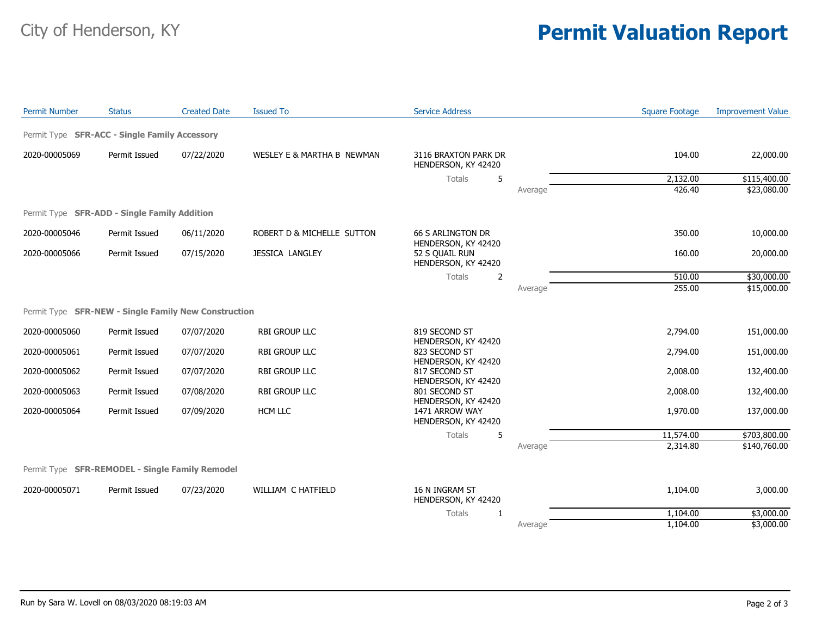## City of Henderson, KY **Permit Valuation Report**

| <b>Permit Number</b> | <b>Status</b>                                        | <b>Created Date</b> | <b>Issued To</b>           | <b>Service Address</b>                          |         | <b>Square Footage</b> | <b>Improvement Value</b> |
|----------------------|------------------------------------------------------|---------------------|----------------------------|-------------------------------------------------|---------|-----------------------|--------------------------|
|                      | Permit Type SFR-ACC - Single Family Accessory        |                     |                            |                                                 |         |                       |                          |
| 2020-00005069        | Permit Issued                                        | 07/22/2020          | WESLEY E & MARTHA B NEWMAN | 3116 BRAXTON PARK DR<br>HENDERSON, KY 42420     |         | 104.00                | 22,000.00                |
|                      |                                                      |                     |                            | <b>Totals</b><br>5                              |         | 2,132.00              | \$115,400.00             |
|                      |                                                      |                     |                            |                                                 | Average | 426.40                | \$23,080.00              |
|                      | Permit Type SFR-ADD - Single Family Addition         |                     |                            |                                                 |         |                       |                          |
| 2020-00005046        | Permit Issued                                        | 06/11/2020          | ROBERT D & MICHELLE SUTTON | <b>66 S ARLINGTON DR</b><br>HENDERSON, KY 42420 |         | 350.00                | 10,000.00                |
| 2020-00005066        | Permit Issued                                        | 07/15/2020          | <b>JESSICA LANGLEY</b>     | 52 S OUAIL RUN<br>HENDERSON, KY 42420           |         | 160.00                | 20,000.00                |
|                      |                                                      |                     |                            | Totals<br>2                                     |         | 510.00                | \$30,000.00              |
|                      |                                                      |                     |                            |                                                 | Average | 255.00                | \$15,000.00              |
|                      | Permit Type SFR-NEW - Single Family New Construction |                     |                            |                                                 |         |                       |                          |
| 2020-00005060        | Permit Issued                                        | 07/07/2020          | <b>RBI GROUP LLC</b>       | 819 SECOND ST<br>HENDERSON, KY 42420            |         | 2,794.00              | 151,000.00               |
| 2020-00005061        | Permit Issued                                        | 07/07/2020          | <b>RBI GROUP LLC</b>       | 823 SECOND ST<br>HENDERSON, KY 42420            |         | 2,794.00              | 151,000.00               |
| 2020-00005062        | Permit Issued                                        | 07/07/2020          | RBI GROUP LLC              | 817 SECOND ST<br>HENDERSON, KY 42420            |         | 2,008.00              | 132,400.00               |
| 2020-00005063        | Permit Issued                                        | 07/08/2020          | RBI GROUP LLC              | 801 SECOND ST<br>HENDERSON, KY 42420            |         | 2,008.00              | 132,400.00               |
| 2020-00005064        | Permit Issued                                        | 07/09/2020          | <b>HCM LLC</b>             | 1471 ARROW WAY<br>HENDERSON, KY 42420           |         | 1,970.00              | 137,000.00               |
|                      |                                                      |                     |                            | Totals<br>5                                     |         | 11,574.00             | \$703,800.00             |
|                      |                                                      |                     |                            |                                                 | Average | 2,314.80              | \$140,760.00             |
|                      | Permit Type SFR-REMODEL - Single Family Remodel      |                     |                            |                                                 |         |                       |                          |
| 2020-00005071        | Permit Issued                                        | 07/23/2020          | WILLIAM C HATFIELD         | 16 N INGRAM ST<br>HENDERSON, KY 42420           |         | 1,104.00              | 3,000.00                 |
|                      |                                                      |                     |                            | Totals<br>1                                     |         | 1,104.00              | \$3,000.00               |
|                      |                                                      |                     |                            |                                                 | Average | 1,104.00              | \$3,000.00               |